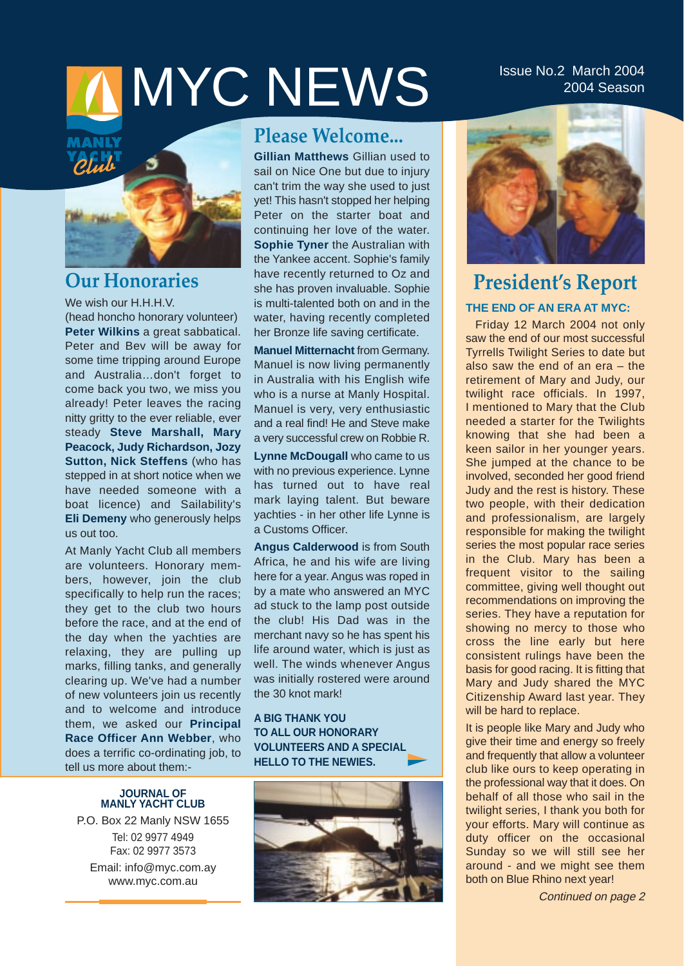# MYC NEWS ISSUE NO.2 March 2004

## 2004 Season



## **Our Honoraries**

We wish our H.H.H.V. (head honcho honorary volunteer) **Peter Wilkins** a great sabbatical. Peter and Bev will be away for some time tripping around Europe and Australia…don't forget to come back you two, we miss you already! Peter leaves the racing nitty gritty to the ever reliable, ever steady **Steve Marshall, Mary Peacock, Judy Richardson, Jozy Sutton, Nick Steffens** (who has stepped in at short notice when we have needed someone with a boat licence) and Sailability's **Eli Demeny** who generously helps us out too.

At Manly Yacht Club all members are volunteers. Honorary members, however, join the club specifically to help run the races; they get to the club two hours before the race, and at the end of the day when the yachties are relaxing, they are pulling up marks, filling tanks, and generally clearing up. We've had a number of new volunteers join us recently and to welcome and introduce them, we asked our **Principal Race Officer Ann Webber**, who does a terrific co-ordinating job, to tell us more about them:-

#### **JOURNAL OF MANLY YACHT CLUB**

P.O. Box 22 Manly NSW 1655 Tel: 02 9977 4949 Fax: 02 9977 3573 Email: info@myc.com.ay www.myc.com.au

## **Please Welcome...**

**Gillian Matthews** Gillian used to sail on Nice One but due to injury can't trim the way she used to just yet! This hasn't stopped her helping Peter on the starter boat and continuing her love of the water. **Sophie Tyner** the Australian with the Yankee accent. Sophie's family have recently returned to Oz and she has proven invaluable. Sophie is multi-talented both on and in the water, having recently completed her Bronze life saving certificate.

**Manuel Mitternacht** from Germany. Manuel is now living permanently in Australia with his English wife who is a nurse at Manly Hospital. Manuel is very, very enthusiastic and a real find! He and Steve make a very successful crew on Robbie R.

**Lynne McDougall** who came to us with no previous experience. Lynne has turned out to have real mark laying talent. But beware yachties - in her other life Lynne is a Customs Officer.

**Angus Calderwood** is from South Africa, he and his wife are living here for a year. Angus was roped in by a mate who answered an MYC ad stuck to the lamp post outside the club! His Dad was in the merchant navy so he has spent his life around water, which is just as well. The winds whenever Angus was initially rostered were around the 30 knot mark!

#### **A BIG THANK YOU TO ALL OUR HONORARY VOLUNTEERS AND A SPECIAL HELLO TO THE NEWIES.**





## **President's Report THE END OF AN ERA AT MYC:**

Friday 12 March 2004 not only saw the end of our most successful Tyrrells Twilight Series to date but also saw the end of an era – the retirement of Mary and Judy, our twilight race officials. In 1997, I mentioned to Mary that the Club needed a starter for the Twilights knowing that she had been a keen sailor in her younger years. She jumped at the chance to be involved, seconded her good friend Judy and the rest is history. These two people, with their dedication and professionalism, are largely responsible for making the twilight series the most popular race series in the Club. Mary has been a frequent visitor to the sailing committee, giving well thought out recommendations on improving the series. They have a reputation for showing no mercy to those who cross the line early but here consistent rulings have been the basis for good racing. It is fitting that Mary and Judy shared the MYC Citizenship Award last year. They will be hard to replace.

It is people like Mary and Judy who give their time and energy so freely and frequently that allow a volunteer club like ours to keep operating in the professional way that it does. On behalf of all those who sail in the twilight series, I thank you both for your efforts. Mary will continue as duty officer on the occasional Sunday so we will still see her around - and we might see them both on Blue Rhino next year!

Continued on page 2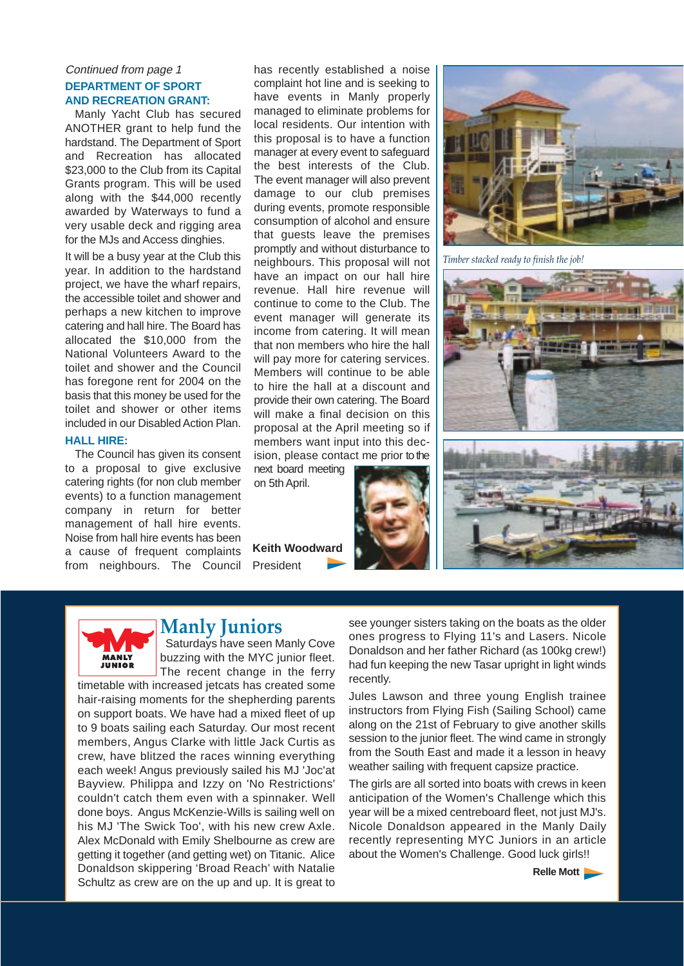#### Continued from page 1 **DEPARTMENT OF SPORT AND RECREATION GRANT:**

Manly Yacht Club has secured ANOTHER grant to help fund the hardstand. The Department of Sport and Recreation has allocated \$23,000 to the Club from its Capital Grants program. This will be used along with the \$44,000 recently awarded by Waterways to fund a very usable deck and rigging area for the MJs and Access dinghies.

It will be a busy year at the Club this year. In addition to the hardstand project, we have the wharf repairs, the accessible toilet and shower and perhaps a new kitchen to improve catering and hall hire. The Board has allocated the \$10,000 from the National Volunteers Award to the toilet and shower and the Council has foregone rent for 2004 on the basis that this money be used for the toilet and shower or other items included in our Disabled Action Plan.

#### **HALL HIRE:**

The Council has given its consent to a proposal to give exclusive catering rights (for non club member events) to a function management company in return for better management of hall hire events. Noise from hall hire events has been a cause of frequent complaints from neighbours. The Council has recently established a noise complaint hot line and is seeking to have events in Manly properly managed to eliminate problems for local residents. Our intention with this proposal is to have a function manager at every event to safeguard the best interests of the Club. The event manager will also prevent damage to our club premises during events, promote responsible consumption of alcohol and ensure that guests leave the premises promptly and without disturbance to neighbours. This proposal will not have an impact on our hall hire revenue. Hall hire revenue will continue to come to the Club. The event manager will generate its income from catering. It will mean that non members who hire the hall will pay more for catering services. Members will continue to be able to hire the hall at a discount and provide their own catering. The Board will make a final decision on this proposal at the April meeting so if members want input into this decision, please contact me prior to the

next board meeting on 5th April.

**Keith Woodward**  President



*Timber stacked ready to finish the job!*





#### **Manly Juniors**

Saturdays have seen Manly Cove buzzing with the MYC junior fleet. The recent change in the ferry

timetable with increased jetcats has created some hair-raising moments for the shepherding parents on support boats. We have had a mixed fleet of up to 9 boats sailing each Saturday. Our most recent members, Angus Clarke with little Jack Curtis as crew, have blitzed the races winning everything each week! Angus previously sailed his MJ 'Joc'at Bayview. Philippa and Izzy on 'No Restrictions' couldn't catch them even with a spinnaker. Well done boys. Angus McKenzie-Wills is sailing well on his MJ 'The Swick Too', with his new crew Axle. Alex McDonald with Emily Shelbourne as crew are getting it together (and getting wet) on Titanic. Alice Donaldson skippering 'Broad Reach' with Natalie Schultz as crew are on the up and up. It is great to see younger sisters taking on the boats as the older ones progress to Flying 11's and Lasers. Nicole Donaldson and her father Richard (as 100kg crew!) had fun keeping the new Tasar upright in light winds recently.

Jules Lawson and three young English trainee instructors from Flying Fish (Sailing School) came along on the 21st of February to give another skills session to the junior fleet. The wind came in strongly from the South East and made it a lesson in heavy weather sailing with frequent capsize practice.

The girls are all sorted into boats with crews in keen anticipation of the Women's Challenge which this year will be a mixed centreboard fleet, not just MJ's. Nicole Donaldson appeared in the Manly Daily recently representing MYC Juniors in an article about the Women's Challenge. Good luck girls!!

**Relle Mott**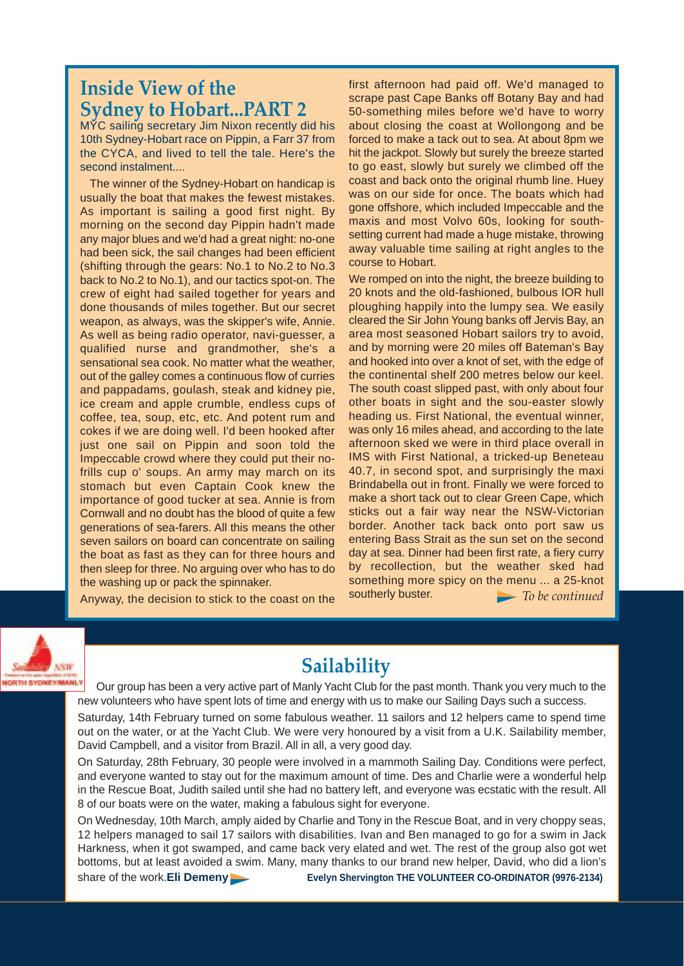## **Inside View of the Sydney to Hobart...PART 2**

MYC sailing secretary Jim Nixon recently did his 10th Sydney-Hobart race on Pippin, a Farr 37 from the CYCA, and lived to tell the tale. Here's the second instalment....

The winner of the Sydney-Hobart on handicap is usually the boat that makes the fewest mistakes. As important is sailing a good first night. By morning on the second day Pippin hadn't made any major blues and we'd had a great night: no-one had been sick, the sail changes had been efficient (shifting through the gears: No.1 to No.2 to No.3 back to No.2 to No.1), and our tactics spot-on. The crew of eight had sailed together for years and done thousands of miles together. But our secret weapon, as always, was the skipper's wife, Annie. As well as being radio operator, navi-guesser, a qualified nurse and grandmother, she's a sensational sea cook. No matter what the weather, out of the galley comes a continuous flow of curries and pappadams, goulash, steak and kidney pie, ice cream and apple crumble, endless cups of coffee, tea, soup, etc, etc. And potent rum and cokes if we are doing well. I'd been hooked after just one sail on Pippin and soon told the Impeccable crowd where they could put their nofrills cup o' soups. An army may march on its stomach but even Captain Cook knew the importance of good tucker at sea. Annie is from Cornwall and no doubt has the blood of quite a few generations of sea-farers. All this means the other seven sailors on board can concentrate on sailing the boat as fast as they can for three hours and then sleep for three. No arguing over who has to do the washing up or pack the spinnaker.

Anyway, the decision to stick to the coast on the

first afternoon had paid off. We'd managed to scrape past Cape Banks off Botany Bay and had 50-something miles before we'd have to worry about closing the coast at Wollongong and be forced to make a tack out to sea. At about 8pm we hit the jackpot. Slowly but surely the breeze started to go east, slowly but surely we climbed off the coast and back onto the original rhumb line. Huey was on our side for once. The boats which had gone offshore, which included Impeccable and the maxis and most Volvo 60s, looking for southsetting current had made a huge mistake, throwing away valuable time sailing at right angles to the course to Hobart.

We romped on into the night, the breeze building to 20 knots and the old-fashioned, bulbous IOR hull ploughing happily into the lumpy sea. We easily cleared the Sir John Young banks off Jervis Bay, an area most seasoned Hobart sailors try to avoid, and by morning were 20 miles off Bateman's Bay and hooked into over a knot of set, with the edge of the continental shelf 200 metres below our keel. The south coast slipped past, with only about four other boats in sight and the sou-easter slowly heading us. First National, the eventual winner, was only 16 miles ahead, and according to the late afternoon sked we were in third place overall in IMS with First National, a tricked-up Beneteau 40.7, in second spot, and surprisingly the maxi Brindabella out in front. Finally we were forced to make a short tack out to clear Green Cape, which sticks out a fair way near the NSW-Victorian border. Another tack back onto port saw us entering Bass Strait as the sun set on the second day at sea. Dinner had been first rate, a fiery curry by recollection, but the weather sked had something more spicy on the menu ... a 25-knot southerly buster. *To be continued*



## **Sailability**

Our group has been a very active part of Manly Yacht Club for the past month. Thank you very much to the new volunteers who have spent lots of time and energy with us to make our Sailing Days such a success.

Saturday, 14th February turned on some fabulous weather. 11 sailors and 12 helpers came to spend time out on the water, or at the Yacht Club. We were very honoured by a visit from a U.K. Sailability member, David Campbell, and a visitor from Brazil. All in all, a very good day.

On Saturday, 28th February, 30 people were involved in a mammoth Sailing Day. Conditions were perfect, and everyone wanted to stay out for the maximum amount of time. Des and Charlie were a wonderful help in the Rescue Boat, Judith sailed until she had no battery left, and everyone was ecstatic with the result. All 8 of our boats were on the water, making a fabulous sight for everyone.

bottoms, but at least avoided a swim. Many, many thanks to our brand new helper, David, who did a lion's **THE VOLUNTEER CO-ORDINATOR**  share of the work.**Eli Demeny Evelyn Shervington THE VOLUNTEER CO-ORDINATOR (9976-2134)** On Wednesday, 10th March, amply aided by Charlie and Tony in the Rescue Boat, and in very choppy seas, 12 helpers managed to sail 17 sailors with disabilities. Ivan and Ben managed to go for a swim in Jack Harkness, when it got swamped, and came back very elated and wet. The rest of the group also got wet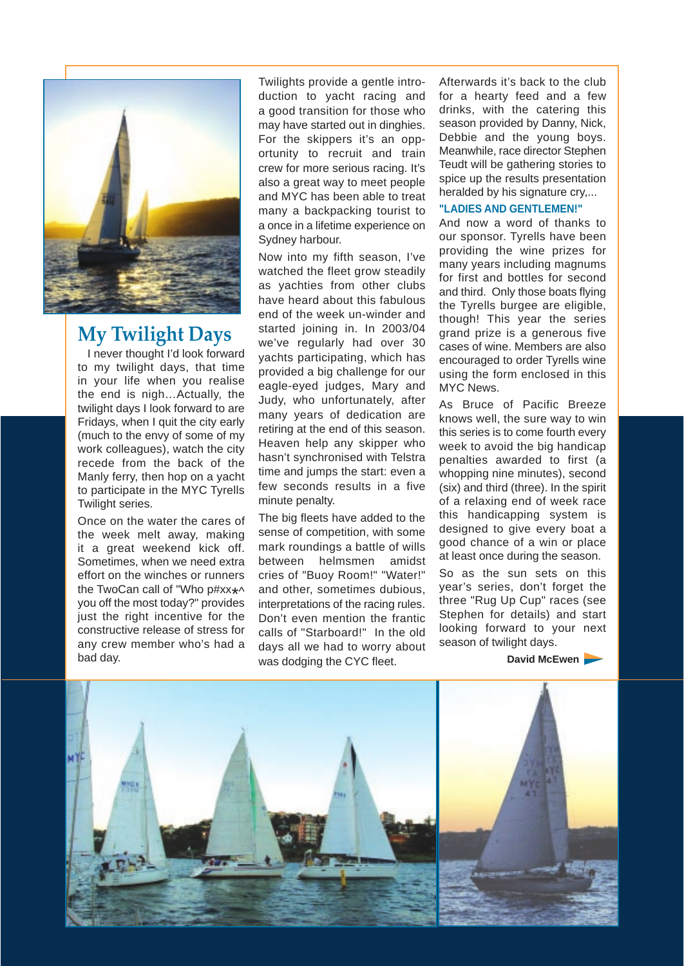

## **My Twilight Days**

I never thought I'd look forward to my twilight days, that time in your life when you realise the end is nigh…Actually, the twilight days I look forward to are Fridays, when I quit the city early (much to the envy of some of my work colleagues), watch the city recede from the back of the Manly ferry, then hop on a yacht to participate in the MYC Tyrells Twilight series.

Once on the water the cares of the week melt away, making it a great weekend kick off. Sometimes, when we need extra effort on the winches or runners the TwoCan call of "Who p#xx\*^ you off the most today?" provides just the right incentive for the constructive release of stress for any crew member who's had a bad day.

Twilights provide a gentle introduction to yacht racing and a good transition for those who may have started out in dinghies. For the skippers it's an opportunity to recruit and train crew for more serious racing. It's also a great way to meet people and MYC has been able to treat many a backpacking tourist to a once in a lifetime experience on Sydney harbour.

Now into my fifth season, I've watched the fleet grow steadily as yachties from other clubs have heard about this fabulous end of the week un-winder and started joining in. In 2003/04 we've regularly had over 30 yachts participating, which has provided a big challenge for our eagle-eyed judges, Mary and Judy, who unfortunately, after many years of dedication are retiring at the end of this season. Heaven help any skipper who hasn't synchronised with Telstra time and jumps the start: even a few seconds results in a five minute penalty.

The big fleets have added to the sense of competition, with some mark roundings a battle of wills between helmsmen amidst cries of "Buoy Room!" "Water!" and other, sometimes dubious, interpretations of the racing rules. Don't even mention the frantic calls of "Starboard!" In the old days all we had to worry about was dodging the CYC fleet.

Afterwards it's back to the club for a hearty feed and a few drinks, with the catering this season provided by Danny, Nick, Debbie and the young boys. Meanwhile, race director Stephen Teudt will be gathering stories to spice up the results presentation heralded by his signature cry,...

#### **"LADIES AND GENTLEMEN!"**

And now a word of thanks to our sponsor. Tyrells have been providing the wine prizes for many years including magnums for first and bottles for second and third. Only those boats flying the Tyrells burgee are eligible, though! This year the series grand prize is a generous five cases of wine. Members are also encouraged to order Tyrells wine using the form enclosed in this MYC News.

As Bruce of Pacific Breeze knows well, the sure way to win this series is to come fourth every week to avoid the big handicap penalties awarded to first (a whopping nine minutes), second (six) and third (three). In the spirit of a relaxing end of week race this handicapping system is designed to give every boat a good chance of a win or place at least once during the season.

So as the sun sets on this year's series, don't forget the three "Rug Up Cup" races (see Stephen for details) and start looking forward to your next season of twilight days.

David McEwen

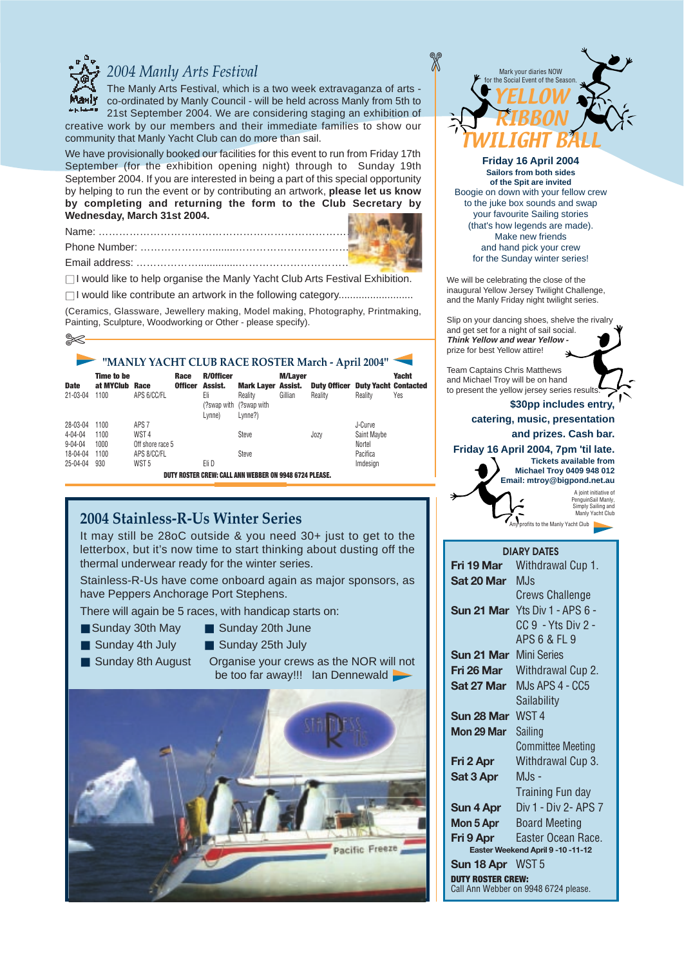

### *2004 Manly Arts Festival*

The Manly Arts Festival, which is a two week extravaganza of arts co-ordinated by Manly Council - will be held across Manly from 5th to 21st September 2004. We are considering staging an exhibition of creative work by our members and their immediate families to show our

community that Manly Yacht Club can do more than sail.

We have provisionally booked our facilities for this event to run from Friday 17th September (for the exhibition opening night) through to Sunday 19th September 2004. If you are interested in being a part of this special opportunity by helping to run the event or by contributing an artwork, **please let us know by completing and returning the form to the Club Secretary by Wednesday, March 31st 2004.** 

 $\Box$  I would like to help organise the Manly Yacht Club Arts Festival Exhibition.

■ I would like contribute an artwork in the following category..........................

(Ceramics, Glassware, Jewellery making, Model making, Photography, Printmaking, Painting, Sculpture, Woodworking or Other - please specify).

| "MANLY YACHT CLUB RACE ROSTER March - April 2004" |                                        |                     |                        |                                                             |                                                                 |                           |                                                     |             |                     |
|---------------------------------------------------|----------------------------------------|---------------------|------------------------|-------------------------------------------------------------|-----------------------------------------------------------------|---------------------------|-----------------------------------------------------|-------------|---------------------|
| <b>Date</b><br>21-03-04                           | <b>Time to be</b><br>at MYClub<br>1100 | Race<br>APS 6/CC/FL | Race<br><b>Officer</b> | <b>R/Officer</b><br>Assist.<br>Eli<br>(?swap with<br>Lynne) | <b>Mark Layer Assist.</b><br>Reality<br>(?swap with)<br>Lvnne?) | <b>M/Layer</b><br>Gillian | <b>Duty Officer Duty Yacht Contacted</b><br>Reality | Reality     | <b>Yacht</b><br>Yes |
| 28-03-04                                          | 1100                                   | APS <sub>7</sub>    |                        |                                                             |                                                                 |                           |                                                     | J-Curve     |                     |
| $4 - 04 - 04$                                     | 1100                                   | WST <sub>4</sub>    |                        |                                                             | Steve                                                           |                           | Jozy                                                | Saint Maybe |                     |
| $9 - 04 - 04$                                     | 1000                                   | Off shore race 5    |                        |                                                             |                                                                 |                           |                                                     | Nortel      |                     |
| 18-04-04                                          | 1100                                   | APS 8/CC/FL         |                        |                                                             | Steve                                                           |                           |                                                     | Pacifica    |                     |
| $25 - 04 - 04$                                    | 930                                    | WST <sub>5</sub>    |                        | Eli D                                                       |                                                                 |                           |                                                     | Imdesign    |                     |
|                                                   |                                        |                     |                        |                                                             | DUTY ROSTER CREW: CALL ANN WEBBER ON 9948 6724 PLEASE.          |                           |                                                     |             |                     |

#### **2004 Stainless-R-Us Winter Series**

It may still be 28oC outside & you need 30+ just to get to the letterbox, but it's now time to start thinking about dusting off the thermal underwear ready for the winter series.

Stainless-R-Us have come onboard again as major sponsors, as have Peppers Anchorage Port Stephens.

There will again be 5 races, with handicap starts on:

- 
- Sunday 30th May Sunday 20th June
- Sunday 4th July Sunday 25th July
- 
- 
- Sunday 8th August Organise your crews as the NOR will not be too far away!!! Ian Dennewald





**Friday 16 April 2004 Sailors from both sides of the Spit are invited**  Boogie on down with your fellow crew to the juke box sounds and swap your favourite Sailing stories (that's how legends are made). Make new friends and hand pick your crew for the Sunday winter series!

We will be celebrating the close of the inaugural Yellow Jersey Twilight Challenge, and the Manly Friday night twilight series.

Slip on your dancing shoes, shelve the rivalry and get set for a night of sail social. **Think Yellow and wear Yellow**  prize for best Yellow attire!

Team Captains Chris Matthews and Michael Troy will be on hand to present the yellow jersey series results

**\$30pp includes entry, catering, music, presentation** 

#### **and prizes. Cash bar.**

**Friday 16 April 2004, 7pm 'til late.**



| <b>DIARY DATES</b>                                               |                                       |  |  |  |  |  |
|------------------------------------------------------------------|---------------------------------------|--|--|--|--|--|
| Fri 19 Mar                                                       | Withdrawal Cup 1.                     |  |  |  |  |  |
| Sat 20 Mar                                                       | MJs                                   |  |  |  |  |  |
|                                                                  | <b>Crews Challenge</b>                |  |  |  |  |  |
|                                                                  | <b>Sun 21 Mar</b> Yts Div 1 - APS 6 - |  |  |  |  |  |
|                                                                  | CC 9 - Yts Div 2 -                    |  |  |  |  |  |
|                                                                  | APS 6 & FL 9                          |  |  |  |  |  |
| <b>Sun 21 Mar</b> Mini Series                                    |                                       |  |  |  |  |  |
| Fri 26 Mar                                                       | Withdrawal Cup 2.                     |  |  |  |  |  |
| Sat 27 Mar                                                       | M.Js APS 4 - CC5                      |  |  |  |  |  |
|                                                                  | Sailability                           |  |  |  |  |  |
| Sun 28 Mar                                                       | WST <sub>4</sub>                      |  |  |  |  |  |
| Mon 29 Mar                                                       | Sailing                               |  |  |  |  |  |
|                                                                  | <b>Committee Meeting</b>              |  |  |  |  |  |
| Fri 2 Apr                                                        | Withdrawal Cup 3.                     |  |  |  |  |  |
| Sat 3 Apr                                                        | $MJs -$                               |  |  |  |  |  |
|                                                                  | Training Fun day                      |  |  |  |  |  |
| Sun 4 Apr                                                        | Div 1 - Div 2- APS 7                  |  |  |  |  |  |
| Mon 5 Apr                                                        | <b>Board Meeting</b>                  |  |  |  |  |  |
| Fri 9 Apr                                                        | Easter Ocean Race.                    |  |  |  |  |  |
|                                                                  | Easter Weekend April 9-10-11-12       |  |  |  |  |  |
| Sun 18 Apr                                                       | WST <sub>5</sub>                      |  |  |  |  |  |
| <b>IUTY ROSTER CREW:</b><br>Call Ann Webber on 9948 6724 please. |                                       |  |  |  |  |  |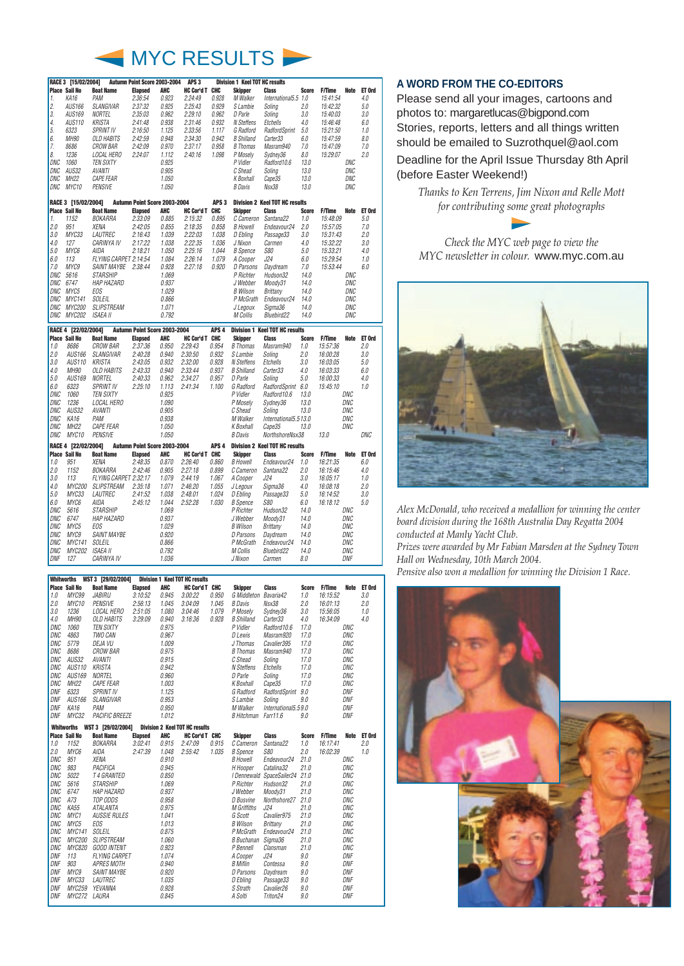

| RACE 3 [15/02/2004]<br>Autumn Point Score 2003-2004 |                                             |                       |                              |                | APS <sub>3</sub><br><b>Division 1 Keel TOT HC results</b> |                  |                     |                                       |              |               |             |        |
|-----------------------------------------------------|---------------------------------------------|-----------------------|------------------------------|----------------|-----------------------------------------------------------|------------------|---------------------|---------------------------------------|--------------|---------------|-------------|--------|
|                                                     | <b>Place Sail No</b>                        | <b>Boat Name</b>      | <b>Elapsed</b>               | <b>AHC</b>     | HC Cor'd T CHC                                            |                  | <b>Skipper</b>      | <b>Class</b>                          | <b>Score</b> | <b>F/Time</b> | Note        | ET Ord |
| 1.                                                  | KA16                                        | PAM                   | 2:36:54                      | 0.923          | 2.24:49                                                   | 0.928            | M Walker            | International5.5 1.0                  |              | 15:41:54      |             | 4.0    |
| 2.                                                  | AUS166                                      | SLANGIVAR             | 2:37:32                      | 0.925          | 2.25:43                                                   | 0.929            | S Lambie            | Soling                                | 2.0          | 15:42:32      |             | 5.0    |
| 3.                                                  | <b>AUS169</b>                               | NORTEL                | 2:35:03                      | 0.962          | 2.29.10                                                   | 0.962            | D Parle             | Soling                                | 3.0          | 15:40:03      |             | 3.0    |
| 4.                                                  | AUS110                                      | KRISTA                | 2:41:48                      | 0.938          | 2.31:46                                                   | 0.932            | N Steffens          | Etchells                              | 4.0          | 15:46:48      |             | 6.0    |
| 5.                                                  | 6323                                        | <b>SPRINT IV</b>      | 2:16:50                      | 1.125          | 2:33:56                                                   | 1.117            | G Radford           | RadfordSprint                         | 5.0          | 15:21:50      |             | 1.0    |
| 6.                                                  | MH90                                        | <b>OLD HABITS</b>     | 2:42:59                      | 0.948          | 2:34:30                                                   | 0.942            | <b>B</b> Shilland   | Carter33                              | 6.0          | 15:47:59      |             | 8.0    |
| 7.                                                  | 8686                                        | <b>CROW BAR</b>       | 2:42:09                      | 0.970          | 2:37:17                                                   | 0.958            | <b>B</b> Thomas     | Masram940                             | 7.0          | 15:47:09      |             | 7.0    |
| 8.                                                  | 1236                                        | LOCAL HERO            | 2:24:07                      | 1.112          | 2.40:16                                                   | 1.098            | P Mosely            | Sydney36                              | 8.0          | 15:29.07      |             | 2.0    |
| <b>DNC</b>                                          | 1060                                        | <b>TEN SIXTY</b>      |                              | 0.925          |                                                           |                  | P Vidler            | Radford10.6                           | 13.0         |               | DNC         |        |
| DNC                                                 | AUS32                                       | <b>AVANTI</b>         |                              | 0.905          |                                                           |                  | C Shead             | Soling                                | 13.0         |               | DNC         |        |
| DNC                                                 | MH22                                        | <b>CAPE FEAR</b>      |                              | 1.050          |                                                           |                  | <b>K</b> Boxhall    | Cape35                                | 13.0         |               | DNC         |        |
| DNC                                                 | MYC10                                       | <b>PENSIVE</b>        |                              | 1.050          |                                                           |                  | <b>B</b> Davis      | Nsx38                                 | 13.0         |               | DNC         |        |
|                                                     |                                             |                       | Autumn Point Score 2003-2004 |                |                                                           | APS <sub>3</sub> |                     | <b>Division 2 Keel TOT HC results</b> |              |               |             |        |
|                                                     | RACE 3 [15/02/2004]<br><b>Place Sail No</b> | <b>Boat Name</b>      | <b>Elapsed</b>               | <b>AHC</b>     | <b>HC Cor'd T CHC</b>                                     |                  | <b>Skipper</b>      | <b>Class</b>                          | <b>Score</b> | <b>F/Time</b> | <b>Note</b> | ET Ord |
| 1.                                                  | 1152                                        | <b>BOKARRA</b>        | 2:33:09                      | 0.885          | 2.15:32                                                   | 0.895            | C Cameron           | Santana22                             | 1.0          | 15:48:09      |             | 5.0    |
| 2.0                                                 | 951                                         | XENA                  | 2:42:05                      | 0.855          | 2.18:35                                                   | 0.858            | <b>B</b> Howell     | Endeavour24                           | 2.0          | 15:57:05      |             | 7.0    |
| 3.0                                                 | MYC33                                       | <i>LAUTREC</i>        | 2:16:43                      | 1.039          | 2.22.03                                                   | 1.038            | D Ebling            | Passage33                             | 3.0          | 15:31:43      |             | 2.0    |
| 4.0                                                 | 127                                         | CARINYA IV            | 2:17:22                      | 1.038          | 2.22.35                                                   | 1.036            | J Nixon             | Carmen                                | 4.0          | 15:32:22      |             | 3.0    |
| 5.0                                                 | MYC6                                        | AIDA                  | 2:18:21                      | 1.050          | 2.25:16                                                   | 1.044            | <b>B</b> Spence     | <i>S80</i>                            | 5.0          | 15:33:21      |             | 4.0    |
| 6.0                                                 | 113                                         | FLYING CARPET 2:14:54 |                              | 1.084          | 2.26:14                                                   | 1.079            | A Cooper            | J24                                   | 6.0          | 15:29:54      |             | 1.0    |
| 7.0                                                 | MYC9                                        | SAINT MAYBE 2:38:44   |                              | 0.928          | 2.27:18                                                   | 0.920            | D Parsons           | Daydream                              | 7.0          | 15:53:44      |             | 6.0    |
| DNC                                                 | 5616                                        | <b>STARSHIP</b>       |                              | 1.069          |                                                           |                  | P Richter           | Hudson32                              | 14.0         |               | DNC         |        |
| <b>DNC</b>                                          | 6747                                        | <b>HAP HAZARD</b>     |                              | 0.937          |                                                           |                  | J Webber            | Moodv31                               | 14.0         |               | <b>DNC</b>  |        |
| DNC                                                 | MYC5                                        | <b>EOS</b>            |                              | 1.029          |                                                           |                  | <b>B</b> Wilson     | <b>Brittany</b>                       | 14.0         |               | DNC         |        |
| DNC                                                 | <b>MYC141</b>                               | <b>SOLEIL</b>         |                              | 0.866          |                                                           |                  | P McGrath           | Endeavour24                           | 14.0         |               | DNC         |        |
| DNC                                                 | MYC200                                      | <b>SLIPSTREAM</b>     |                              | 1.071          |                                                           |                  | J Legoux            | Sigma36                               | 14.0         |               | DNC         |        |
| DNC                                                 | MYC202                                      | <b>ISAEA II</b>       |                              | 0.792          |                                                           |                  | M Collis            | Bluebird22                            | 14.0         |               | DNC         |        |
|                                                     |                                             |                       |                              |                |                                                           |                  |                     |                                       |              |               |             |        |
|                                                     |                                             |                       |                              |                |                                                           |                  |                     |                                       |              |               |             |        |
|                                                     | RACE 4 [22/02/2004]                         |                       | Autumn Point Score 2003-2004 |                |                                                           | APS <sub>4</sub> |                     | <b>Division 1 Keel TOT HC results</b> |              |               |             |        |
|                                                     | <b>Place Sail No</b>                        | <b>Boat Name</b>      | <b>Elapsed</b>               | <b>AHC</b>     | <b>HC Cor'd T CHC</b>                                     |                  | <b>Skipper</b>      | <b>Class</b>                          | <b>Score</b> | <b>F/Time</b> | <b>Note</b> | ET Ord |
| 1.0                                                 | 8686                                        | <b>CROW BAR</b>       | 2:37:36                      | 0.950          | 2:29:43                                                   | 0.954            | <b>B</b> Thomas     | Masram940                             | 1.0          | 15:57:36      |             | 2.0    |
| 2.0                                                 | AUS166                                      | <b>SLANGIVAR</b>      | 2:40:28                      | 0.940          | 2:30:50                                                   | 0.932            | S Lambie            | Soling                                | 2.0          | 16:00:28      |             | 3.0    |
| 3.0                                                 | AUS110                                      | KRISTA                | 2:43:05                      | 0.932          | 2:32:00                                                   | 0.928            | N Steffens          | Etchells                              | 3.0          | 16:03:05      |             | 5.0    |
| 4.0                                                 | <b>MH90</b>                                 | OLD HABITS            | 2:43:33                      | 0.940          | 2:33:44                                                   | 0.937            | <b>B</b> Shilland   | Carter33                              | 4.0          | 16:03:33      |             | 6.0    |
| 5.0                                                 | <i>AUS169</i>                               | NORTEL                | 2:40:33                      | 0.962          | 2.34:27                                                   | 0.957            | D Parle             | Soling                                | 5.0          | 16:00:33      |             | 4.0    |
| 6.0                                                 | 6323                                        | <b>SPRINT IV</b>      | 2:25:10                      | 1.113          | 2.41:34                                                   | 1.100            | G Radford           | RadfordSprint 6.0                     |              | 15:45:10      |             | 1.0    |
| <b>DNC</b>                                          | 1060                                        | <b>TEN SIXTY</b>      |                              | 0.925          |                                                           |                  | P Vidler            | Radford10.6                           | 13.0         |               | <b>DNC</b>  |        |
| <b>DNC</b>                                          | 1236                                        | <b>LOCAL HERO</b>     |                              | 1.090          |                                                           |                  | P Mosely            | Sydney36                              | 13.0         |               | DNC         |        |
| DNC                                                 | <b>AUS32</b>                                | <b>AVANTI</b>         |                              | 0.905          |                                                           |                  | C Shead             | Soling                                | 13.0         |               | DNC         |        |
| DNC                                                 | KA16                                        | PAM                   |                              | 0.938          |                                                           |                  | M Walker            | International5.513.0                  |              |               | DNC         |        |
| <b>DNC</b>                                          | MH22                                        | <b>CAPE FEAR</b>      |                              | 1.050          |                                                           |                  | <b>K</b> Boxhall    | Cape35                                | 13.0         |               | <b>DNC</b>  |        |
| DNC                                                 | MYC <sub>10</sub>                           | <b>PENSIVE</b>        |                              | 1.050          |                                                           |                  | <b>B</b> Davis      | NorthshoreNsx38                       |              | 13.0          |             | DNC    |
|                                                     | RACE 4 [22/02/2004]                         |                       | Autumn Point Score 2003-2004 |                |                                                           | APS <sub>4</sub> |                     | <b>Division 2 Keel TOT HC results</b> |              |               |             |        |
|                                                     | <b>Place Sail No</b>                        | <b>Boat Name</b>      | <b>Elapsed</b>               | <b>AHC</b>     | <b>HC Cor'd T CHC</b>                                     |                  | <b>Skipper</b>      | <b>Class</b>                          | <b>Score</b> | <b>F/Time</b> | <b>Note</b> | ET Ord |
| 1.0                                                 | 951                                         | <b>XENA</b>           | 2:48:35                      | 0.870          | 2:26:40                                                   | 0.860            | <b>B</b> Howell     | Endeavour24                           | 1.0          | 16:21:35      |             | 6.0    |
| 2.0                                                 | 1152                                        | BOKARRA               | 2:42:46                      | 0.905          | 2.27:18                                                   | 0.899            | C Cameron           | Santana22                             | 2.0          | 16:15:46      |             | 4.0    |
| 3.0                                                 | 113                                         | FLYING CARPET 2:32:17 |                              | 1.079          | 2.44:19                                                   | 1.067            | A Cooper            | J24                                   | 3.0          | 16:05:17      |             | 1.0    |
| 4.0                                                 | MYC200                                      | <b>SLIPSTREAM</b>     | 2:35:18                      | 1.071          | 2:46:20                                                   | 1.055            | J Legoux            | Sigma36                               | 4.0          | 16:08:18      |             | 2.0    |
| 5.0                                                 | MYC33                                       | LAUTREC               | 2:41:52                      | 1.038          | 2.48:01                                                   | 1.024            | D Ebling            | Passage33                             | 5.0          | 16:14:52      |             | 3.0    |
| 6.0                                                 | MYC6                                        | AIDA                  | 2:45:12                      | 1.044          | 2:52:28                                                   | 1.030            | <b>B</b> Spence     | <b>S80</b>                            | 6.0          | 16:18:12      |             | 5.0    |
| DNC                                                 | 5616                                        | <b>STARSHIP</b>       |                              | 1.069          |                                                           |                  | P Richter           | Hudson32                              | 14.0         |               | DNC         |        |
| DNC                                                 | 6747                                        | <b>HAP HAZARD</b>     |                              | 0.937          |                                                           |                  | J Webber            | Moody31                               | 14.0         |               | DNC         |        |
| DNC                                                 | MYC5                                        | E0S                   |                              | 1.029          |                                                           |                  | <b>B</b> Wilson     | <b>Brittany</b>                       | 14.0         |               | DNC         |        |
| DNC                                                 | MYC9                                        | <b>SAINT MAYBE</b>    |                              | 0.920          |                                                           |                  | D Parsons           | Daydream                              | 14.0         |               | DNC         |        |
| DNC                                                 | MYC141                                      | SOLEIL                |                              | 0.866          |                                                           |                  | P McGrath           | Endeavour24                           | 14.0         |               | DNC         |        |
| DNC<br>DNF                                          | MYC202 ISAEA II<br>127                      | CARINYA IV            |                              | 0.792<br>1.036 |                                                           |                  | M Collis<br>J Nixon | Bluebird22<br>Carmen                  | 14.0<br>8.0  |               | DNC<br>DNF  |        |

|                   | WST 3 [29/02/2004]<br><b>Division 1 Keel TOT HC results</b><br><b>Whitworths</b> |                               |                |                |                                       |       |                           |                                |              |               |                   |        |
|-------------------|----------------------------------------------------------------------------------|-------------------------------|----------------|----------------|---------------------------------------|-------|---------------------------|--------------------------------|--------------|---------------|-------------------|--------|
|                   | <b>Place Sail No</b>                                                             | <b>Boat Name</b>              | <b>Elapsed</b> | AHC            | <b>HC Cor'd T CHC</b>                 |       | <b>Skipper</b>            | <b>Class</b>                   | <b>Score</b> | <b>F/Time</b> | Note              | ET Ord |
| 1.0               | MYC99                                                                            | <b>JABIRU</b>                 | 3:10:52        | 0.945          | 3:00:22                               | 0.950 | G Middleton Bavaria42     |                                | 1.0          | 16:15:52      |                   | 3.0    |
| 2.0               | MYC <sub>10</sub>                                                                | <b>PENSIVE</b>                | 2:56:13        | 1.045          | 3:04:09                               | 1.045 | <b>B</b> Davis            | Nsx38                          | 2.0          | 16:01:13      |                   | 2.0    |
| 3.0               | 1236                                                                             | LOCAL HERO                    | 2:51:05        | 1.080          | 3:04:46                               | 1.079 | P Moselv                  | Sydney36                       | 3.0          | 15:56:05      |                   | 1.0    |
| 4.0               | MH90                                                                             | OLD HABITS                    | 3:29.09        | 0.940          | 3:16:36                               | 0.928 | <b>B</b> Shilland         | Carter33                       | 4.0          | 16:34:09      |                   | 4.0    |
| <b>DNC</b>        | 1060                                                                             | <b>TEN SIXTY</b>              |                | 0.975          |                                       |       | P Vidler                  | Radford10.6                    | 17.0         |               | DNC               |        |
| DNC               | 4863                                                                             | TWO CAN                       |                | 0.967          |                                       |       | D Lewis                   | Masram920                      | 17.0         |               | DNC               |        |
| DNC               | 5779                                                                             | DEJA VU                       |                | 1.009          |                                       |       | J Thomas                  | Cavalier395                    | 17.0         |               | DNC               |        |
| <b>DNC</b>        | 8686                                                                             | <b>CROW BAR</b>               |                | 0.975          |                                       |       | <b>B</b> Thomas           | Masram940                      | 17.0         |               | DNC               |        |
| <b>DNC</b>        | AUS32                                                                            | <b>AVANTI</b>                 |                | 0.915          |                                       |       | C Shead                   | Soling                         | 17.0         |               | DNC               |        |
| DNC               | AUS110                                                                           | KRISTA                        |                | 0.942          |                                       |       | N Steffens                | Etchells                       | 17.0         |               | DNC               |        |
| <b>DNC</b>        | AUS169                                                                           | <b>NORTEL</b>                 |                | 0.960          |                                       |       | D Parle                   | Soling                         | 17.0         |               | DNC               |        |
| <b>DNC</b>        | MH <sub>22</sub>                                                                 | <b>CAPE FEAR</b>              |                | 1.003          |                                       |       | K Boxhall                 | Cape35                         | 17.0         |               | <b>DNC</b>        |        |
| DNF               | 6323                                                                             | <b>SPRINT IV</b>              |                | 1.125          |                                       |       | G Radford                 | RadfordSprint 9.0              |              |               | DNF               |        |
| <b>DNF</b>        | AUS166                                                                           | <b>SLANGIVAR</b>              |                | 0.953          |                                       |       | S Lambie                  | Soling                         | 9.0          |               | DNF               |        |
| <b>DNF</b>        | <b>KA16</b>                                                                      | PAM                           |                | 0.950          |                                       |       | M Walker                  | International5.59.0            |              |               | <b>DNF</b>        |        |
| DNF               | MYC32                                                                            | <b>PACIFIC BREEZE</b>         |                | 1.012          |                                       |       | B Hitchman Farr11.6       |                                | 9.0          |               | DNF               |        |
|                   |                                                                                  | Whitworths WST 3 [29/02/2004] |                |                | <b>Division 2 Keel TOT HC results</b> |       |                           |                                |              |               |                   |        |
|                   | <b>Place Sail No</b>                                                             | <b>Boat Name</b>              | <b>Elapsed</b> | AHC            | <b>HC Cor'd T CHC</b>                 |       | <b>Skipper</b>            | <b>Class</b>                   | <b>Score</b> | <b>F/Time</b> | Note              | ET Ord |
| 1.0               | 1152                                                                             | <b>BOKARRA</b>                | 3:02:41        | 0.915          | 2:47:09                               | 0.915 | C Cameron                 | Santana22                      | 1.0          | 16:17:41      |                   | 2.0    |
| 2.0               | MYC6                                                                             | AIDA                          | 2:47:39        | 1.048          | 2:55:42                               | 1.035 | <b>B</b> Spence           | <i>S80</i>                     | 2.0          | 16:02:39      |                   | 1.0    |
| <b>DNC</b>        | 951                                                                              | <b>XENA</b>                   |                | 0.910          |                                       |       | <b>B</b> Howell           | Endeavour24                    | 21.0         |               | DNC               |        |
| <b>DNC</b>        | 983                                                                              | PACIFICA                      |                | 0.945          |                                       |       | H Hooper                  | Catalina32                     | 21.0         |               | DNC               |        |
| <b>DNC</b>        | 5022                                                                             | T 4 GRANTED                   |                | 0.850          |                                       |       |                           | I Dennewald SpaceSailer24 21.0 |              |               | DNC               |        |
| <b>DNC</b>        | 5616                                                                             | <b>STARSHIP</b>               |                | 1.069          |                                       |       | P Richter                 | Hudson32                       | 21.0         |               | DNC               |        |
| <b>DNC</b>        | 6747                                                                             | HAP HAZARD                    |                | 0.937          |                                       |       | J Webber                  | Moody31                        | 21.0         |               | DNC               |        |
| <b>DNC</b>        | A73                                                                              | TOP ODDS                      |                | 0.958          |                                       |       | D Busvine                 | Northshore27 21.0              |              |               | <b>DNC</b>        |        |
| <b>DNC</b>        | <b>KA55</b>                                                                      | ATALANTA                      |                | 0.975          |                                       |       | <b>M</b> Griffiths        | J24                            | 21.0         |               | DNC               |        |
| <b>DNC</b>        | MYC1                                                                             | <b>AUSSIE RULES</b>           |                | 1.041          |                                       |       | G Scott                   | Cavalier975                    | 21.0         |               | DNC               |        |
| <b>DNC</b>        | MYC5                                                                             | <b>EOS</b>                    |                | 1.013          |                                       |       | <b>B</b> Wilson           | <b>Brittany</b>                | 21.0         |               | <b>DNC</b>        |        |
| DNC               | <b>MYC141</b>                                                                    | SOLEIL                        |                | 0.875          |                                       |       | P McGrath                 | Endeavour24                    | 21.0         |               | DNC               |        |
| <b>DNC</b>        | MYC200                                                                           | <b>SLIPSTREAM</b>             |                | 1.060          |                                       |       | <b>B</b> Buchanan Sigma36 |                                | 21.0         |               | DNC               |        |
| <b>DNC</b>        | MYC820                                                                           | <b>GOOD INTENT</b>            |                | 0.923          |                                       |       | P Bennell                 | Clansman                       | 21.0         |               | DNC               |        |
| DNF               | 113                                                                              | <b>FLYING CARPET</b>          |                | 1.074          |                                       |       | A Cooper                  | J24                            | 9.0          |               | DNF               |        |
| <b>DNF</b>        |                                                                                  | <b>APRES MOTH</b>             |                | 0.940          |                                       |       | <b>B</b> Miflin           | Contessa                       | 9.0          |               | DNF               |        |
|                   |                                                                                  |                               |                |                |                                       |       |                           |                                |              |               |                   |        |
| DNF               | 903<br>MYC9                                                                      | <b>SAINT MAYBE</b>            |                | 0.920          |                                       |       | D Parsons                 |                                | 9.0          |               | DNF               |        |
|                   |                                                                                  |                               |                |                |                                       |       |                           | Daydream                       |              |               |                   |        |
| DNF               | MYC33                                                                            | LAUTREC                       |                | 1.035          |                                       |       | D Ebling                  | Passage33                      | 9.0          |               | DNF               |        |
| <b>DNF</b><br>DNF | MYC259<br>MYC272 LAURA                                                           | YEVANNA                       |                | 0.928<br>0.845 |                                       |       | S Strath<br>A Solti       | Cavalier26<br>Triton24         | 9.0<br>9.0   |               | <b>DNF</b><br>DNF |        |

#### **A WORD FROM THE CO-EDITORS**

Please send all your images, cartoons and photos to: margaretlucas@bigpond.com Stories, reports, letters and all things written should be emailed to Suzrothquel@aol.com

Deadline for the April Issue Thursday 8th April (before Easter Weekend!)

*Thanks to Ken Terrens, Jim Nixon and Relle Mott for contributing some great photographs*



*Check the MYC web page to view the MYC newsletter in colour.* www.myc.com.au



*Alex McDonald, who received a medallion for winning the center board division during the 168th Australia Day Regatta 2004 conducted at Manly Yacht Club.* 

*Prizes were awarded by Mr Fabian Marsden at the Sydney Town Hall on Wednesday, 10th March 2004.*

*Pensive also won a medallion for winning the Division 1 Race.*